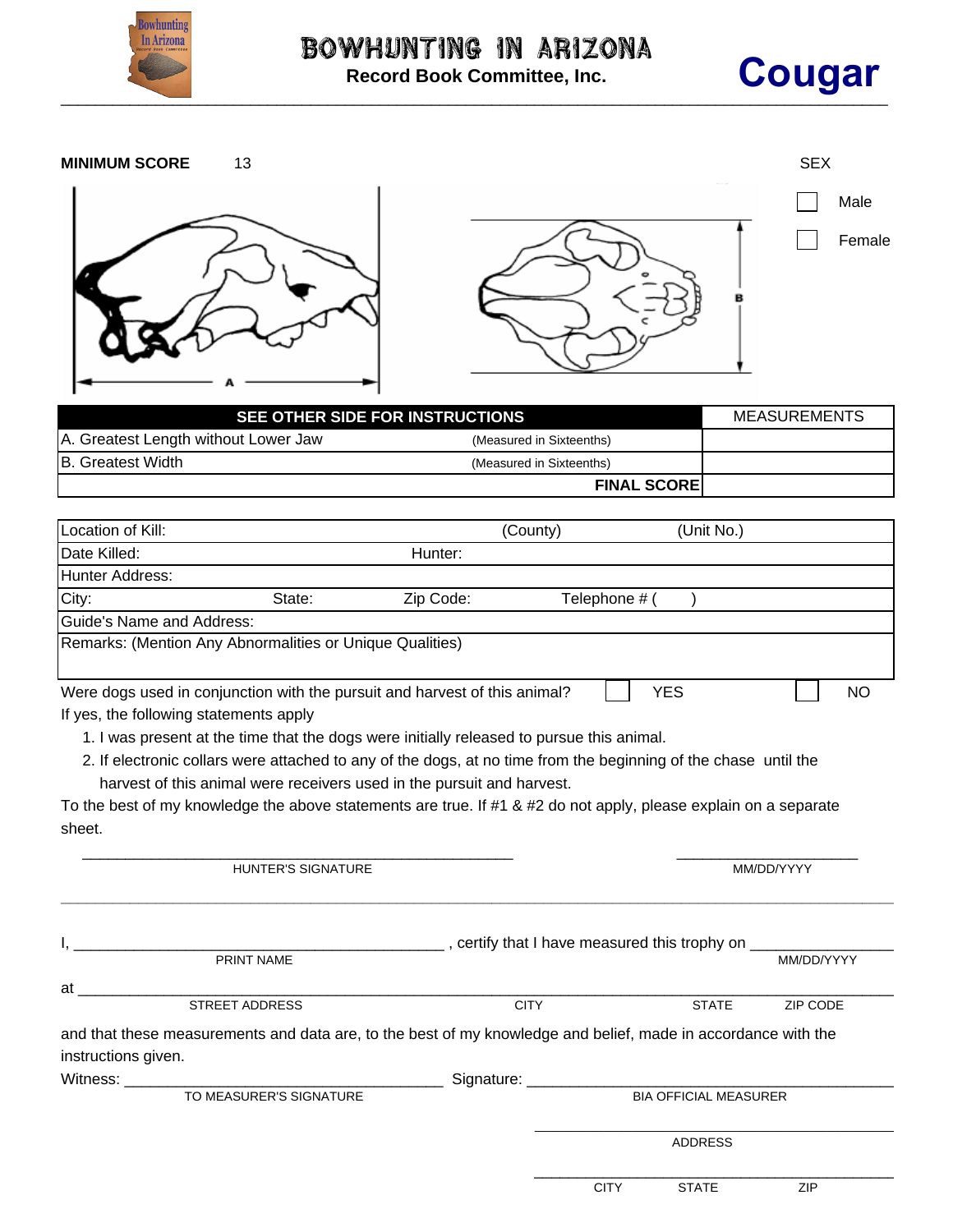



| <b>MINIMUM SCORE</b>                                                                                             | 13                                                                                                              |                                      |                          |                              |              | <b>SEX</b>          |                |
|------------------------------------------------------------------------------------------------------------------|-----------------------------------------------------------------------------------------------------------------|--------------------------------------|--------------------------|------------------------------|--------------|---------------------|----------------|
|                                                                                                                  |                                                                                                                 |                                      |                          |                              |              |                     |                |
|                                                                                                                  |                                                                                                                 |                                      |                          |                              |              |                     | Male<br>Female |
|                                                                                                                  |                                                                                                                 |                                      |                          |                              |              |                     |                |
|                                                                                                                  | SEE OTHER SIDE FOR INSTRUCTIONS                                                                                 |                                      |                          |                              |              | <b>MEASUREMENTS</b> |                |
| A. Greatest Length without Lower Jaw                                                                             |                                                                                                                 |                                      | (Measured in Sixteenths) |                              |              |                     |                |
| <b>B.</b> Greatest Width                                                                                         |                                                                                                                 |                                      | (Measured in Sixteenths) |                              |              |                     |                |
|                                                                                                                  |                                                                                                                 |                                      |                          | <b>FINAL SCORE</b>           |              |                     |                |
| Location of Kill:                                                                                                |                                                                                                                 |                                      | (County)                 |                              | (Unit No.)   |                     |                |
| Date Killed:                                                                                                     |                                                                                                                 | Hunter:                              |                          |                              |              |                     |                |
| Hunter Address:                                                                                                  |                                                                                                                 |                                      |                          |                              |              |                     |                |
| City:                                                                                                            | State:                                                                                                          | Zip Code:                            | Telephone # (            |                              |              |                     |                |
| <b>Guide's Name and Address:</b>                                                                                 |                                                                                                                 |                                      |                          |                              |              |                     |                |
| Remarks: (Mention Any Abnormalities or Unique Qualities)                                                         |                                                                                                                 |                                      |                          |                              |              |                     |                |
| Were dogs used in conjunction with the pursuit and harvest of this animal?                                       |                                                                                                                 |                                      |                          | <b>YES</b>                   |              |                     | <b>NO</b>      |
| If yes, the following statements apply                                                                           |                                                                                                                 |                                      |                          |                              |              |                     |                |
|                                                                                                                  | 1. I was present at the time that the dogs were initially released to pursue this animal.                       |                                      |                          |                              |              |                     |                |
|                                                                                                                  | 2. If electronic collars were attached to any of the dogs, at no time from the beginning of the chase until the |                                      |                          |                              |              |                     |                |
|                                                                                                                  | harvest of this animal were receivers used in the pursuit and harvest.                                          |                                      |                          |                              |              |                     |                |
| To the best of my knowledge the above statements are true. If #1 & #2 do not apply, please explain on a separate |                                                                                                                 |                                      |                          |                              |              |                     |                |
| sheet.                                                                                                           |                                                                                                                 |                                      |                          |                              |              |                     |                |
|                                                                                                                  |                                                                                                                 |                                      |                          |                              |              |                     |                |
|                                                                                                                  | HUNTER'S SIGNATURE                                                                                              |                                      |                          |                              |              | MM/DD/YYYY          |                |
|                                                                                                                  |                                                                                                                 |                                      |                          |                              |              |                     |                |
|                                                                                                                  | PRINT NAME                                                                                                      |                                      |                          |                              |              | MM/DD/YYYY          |                |
| at                                                                                                               |                                                                                                                 |                                      |                          |                              |              |                     |                |
|                                                                                                                  | <b>STREET ADDRESS</b>                                                                                           |                                      | <b>CITY</b>              |                              | <b>STATE</b> | ZIP CODE            |                |
| and that these measurements and data are, to the best of my knowledge and belief, made in accordance with the    |                                                                                                                 |                                      |                          |                              |              |                     |                |
| instructions given.                                                                                              |                                                                                                                 |                                      |                          |                              |              |                     |                |
| Witness: $\frac{1}{2}$                                                                                           |                                                                                                                 | ___________ Signature: _____________ |                          |                              |              |                     |                |
|                                                                                                                  | TO MEASURER'S SIGNATURE                                                                                         |                                      |                          | <b>BIA OFFICIAL MEASURER</b> |              |                     |                |
|                                                                                                                  |                                                                                                                 |                                      |                          | <b>ADDRESS</b>               |              |                     |                |
|                                                                                                                  |                                                                                                                 |                                      |                          |                              |              |                     |                |